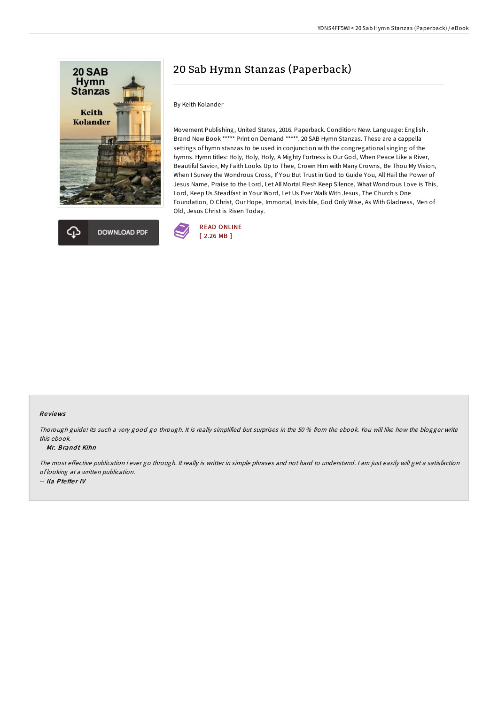



# 20 Sab Hymn Stanzas (Paperback)

#### By Keith Kolander

Movement Publishing, United States, 2016. Paperback. Condition: New. Language: English . Brand New Book \*\*\*\*\* Print on Demand \*\*\*\*\*. 20 SAB Hymn Stanzas. These are a cappella settings of hymn stanzas to be used in conjunction with the congregational singing of the hymns. Hymn titles: Holy, Holy, Holy, A Mighty Fortress is Our God, When Peace Like a River, Beautiful Savior, My Faith Looks Up to Thee, Crown Him with Many Crowns, Be Thou My Vision, When I Survey the Wondrous Cross, If You But Trust in God to Guide You, All Hail the Power of Jesus Name, Praise to the Lord, Let All Mortal Flesh Keep Silence, What Wondrous Love is This, Lord, Keep Us Steadfast in Your Word, Let Us Ever Walk With Jesus, The Church s One Foundation, O Christ, Our Hope, Immortal, Invisible, God Only Wise, As With Gladness, Men of Old, Jesus Christ is Risen Today.



### Re views

Thorough guide! Its such <sup>a</sup> very good go through. It is really simplified but surprises in the 50 % from the ebook. You will like how the blogger write this ebook.

#### -- Mr. Brandt Kihn

The most effective publication i ever go through. It really is writter in simple phrases and not hard to understand. I am just easily will get a satisfaction of looking at <sup>a</sup> written publication. -- Ila Pfeffer IV